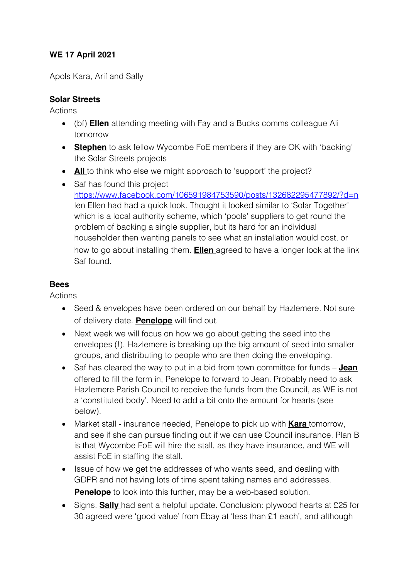## **WE 17 April 2021**

Apols Kara, Arif and Sally

## **Solar Streets**

Actions

- (bf) **Ellen** attending meeting with Fay and a Bucks comms colleague Ali tomorrow
- **Stephen** to ask fellow Wycombe FoE members if they are OK with 'backing' the Solar Streets projects
- **All** to think who else we might approach to 'support' the project?
- Saf has found this project https://www.facebook.com/106591984753590/posts/132682295477892/?d=n len Ellen had had a quick look. Thought it looked similar to 'Solar Together' which is a local authority scheme, which 'pools' suppliers to get round the problem of backing a single supplier, but its hard for an individual householder then wanting panels to see what an installation would cost, or how to go about installing them. **Ellen** agreed to have a longer look at the link Saf found.

## **Bees**

Actions

- Seed & envelopes have been ordered on our behalf by Hazlemere. Not sure of delivery date. **Penelope** will find out.
- Next week we will focus on how we go about getting the seed into the envelopes (!). Hazlemere is breaking up the big amount of seed into smaller groups, and distributing to people who are then doing the enveloping.
- Saf has cleared the way to put in a bid from town committee for funds **Jean**  offered to fill the form in, Penelope to forward to Jean. Probably need to ask Hazlemere Parish Council to receive the funds from the Council, as WE is not a 'constituted body'. Need to add a bit onto the amount for hearts (see below).
- Market stall insurance needed, Penelope to pick up with **Kara** tomorrow, and see if she can pursue finding out if we can use Council insurance. Plan B is that Wycombe FoE will hire the stall, as they have insurance, and WE will assist FoE in staffing the stall.
- Issue of how we get the addresses of who wants seed, and dealing with GDPR and not having lots of time spent taking names and addresses. **Penelope** to look into this further, may be a web-based solution.
- Signs. **Sally** had sent a helpful update. Conclusion: plywood hearts at £25 for 30 agreed were 'good value' from Ebay at 'less than £1 each', and although